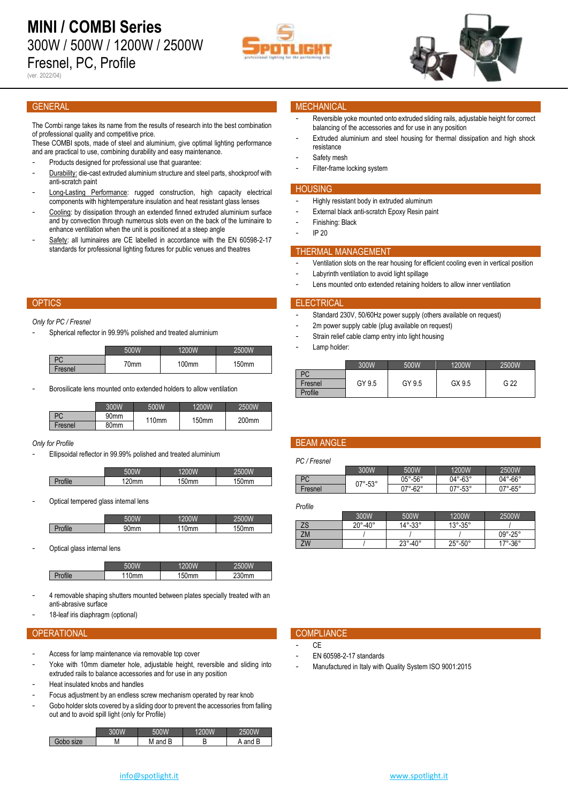## **MINI / COMBI Series** 300W / 500W / 1200W / 2500W Fresnel, PC, Profile

(ver. 2022/04)





The Combi range takes its name from the results of research into the best combination of professional quality and competitive price.

These COMBI spots, made of steel and aluminium, give optimal lighting performance and are practical to use, combining durability and easy maintenance.

- Products designed for professional use that guarantee:
- Durability: die-cast extruded aluminium structure and steel parts, shockproof with anti-scratch paint
- Long-Lasting Performance: rugged construction, high capacity electrical components with hightemperature insulation and heat resistant glass lenses
- Cooling: by dissipation through an extended finned extruded aluminium surface and by convection through numerous slots even on the back of the luminaire to enhance ventilation when the unit is positioned at a steep angle
- Safety: all luminaires are CE labelled in accordance with the EN 60598-2-17 standards for professional lighting fixtures for public venues and theatres

#### *Only for PC / Fresnel*

Spherical reflector in 99.99% polished and treated aluminium

|          | 500W | 1200W | 2500W |
|----------|------|-------|-------|
| מח<br>'U | 70mm | 100mm | 150mm |
| Fresnel  |      |       |       |

- Borosilicate lens mounted onto extended holders to allow ventilation

|         | 300W             | 500W              | 1200W             | 2500W             |  |
|---------|------------------|-------------------|-------------------|-------------------|--|
| РC      | 90 <sub>mm</sub> | 110 <sub>mm</sub> | 150 <sub>mm</sub> | 200 <sub>mm</sub> |  |
| Fresnel | 80mm             |                   |                   |                   |  |

#### *Only for Profile*

- Ellipsoidal reflector in 99.99% polished and treated aluminium

|               | 500W     | 200W  | 2500W |
|---------------|----------|-------|-------|
| <b>rofile</b> | $120$ mm | 150mm | 150mm |

Optical tempered glass internal lens

|               | <b>500W</b> | 1200W   | <b>500W</b>    |
|---------------|-------------|---------|----------------|
| $\neg$ rofile | 90mm        | $10$ mm | $  -$<br>'50mm |

Optical glass internal lens

|               | 500W | 1200W            | 500W<br>ווואי |
|---------------|------|------------------|---------------|
| <b>cofile</b> | `)mm | $^{\circ}$ 50 mm | 230mm         |

- 4 removable shaping shutters mounted between plates specially treated with an anti-abrasive surface
- 18-leaf iris diaphragm (optional)

#### OPERATIONAL COMPLIANCE COMPLIANCE

- Access for lamp maintenance via removable top cover
- Yoke with 10mm diameter hole, adjustable height, reversible and sliding into extruded rails to balance accessories and for use in any position
- Heat insulated knobs and handles
- Focus adjustment by an endless screw mechanism operated by rear knob
- Gobo holder slots covered by a sliding door to prevent the accessories from falling out and to avoid spill light (only for Profile)

|           | 300W | 500W    | 1200W | 2500W   |
|-----------|------|---------|-------|---------|
| Gobo size | M    | M and B |       | A and B |

### GENERAL MECHANICAL CONTROL CONTROL CONTROL CONTROL CONTROL CONTROL CONTROL CONTROL CONTROL CONTROL CONTROL CONTROL

- Reversible yoke mounted onto extruded sliding rails, adjustable height for correct balancing of the accessories and for use in any position
- Extruded aluminium and steel housing for thermal dissipation and high shock resistance
- Safety mesh
- Filter-frame locking system

#### **HOUSING**

- Highly resistant body in extruded aluminum
- External black anti-scratch Epoxy Resin paint
- Finishing: Black
- IP 20

#### THERMAL MANAGEMENT

- Ventilation slots on the rear housing for efficient cooling even in vertical position
- Labyrinth ventilation to avoid light spillage
- Lens mounted onto extended retaining holders to allow inner ventilation

#### OPTICS **ELECTRICAL CONTROL** ELECTRICAL CONTROL CONTROL CONTROL CONTROL CONTROL CONTROL CONTROL CONTROL CONTROL CONTROL CONTROL CONTROL CONTROL CONTROL CONTROL CONTROL CONTROL CONTROL CONTROL CONTROL CONTROL CONTROL CONTROL

- Standard 230V, 50/60Hz power supply (others available on request)
- 2m power supply cable (plug available on request)
- Strain relief cable clamp entry into light housing
- Lamp holder:

|         | 300W   | 500W   | 1200W  | 2500W |
|---------|--------|--------|--------|-------|
| PC      |        |        |        |       |
| Fresnel | GY 9.5 | GY 9.5 | GX 9.5 | G 22  |
| Profile |        |        |        |       |

### BEAM ANGLE

| PC / Fresnel |                       |                             |                             |                           |
|--------------|-----------------------|-----------------------------|-----------------------------|---------------------------|
|              | 300W                  | 500W                        | 1200W                       | 2500W                     |
| РC           | $07^\circ - 53^\circ$ | $05^{\circ}$ -56 $^{\circ}$ | $04^\circ - 63^\circ$       | $04^\circ - 66^\circ$     |
| Fresnel      |                       | $07^{\circ} - 62^{\circ}$   | $07^{\circ}$ -53 $^{\circ}$ | $07^{\circ} - 65^{\circ}$ |

*Profile*

|          | 300W                      | 500W                  | 1200W                     | <b>2500W</b>            |
|----------|---------------------------|-----------------------|---------------------------|-------------------------|
| 70<br>2ء | $20^{\circ} - 40^{\circ}$ | $14^\circ - 33^\circ$ | $13^\circ - 35^\circ$     |                         |
| ΖM       |                           |                       |                           | $09^{\circ}$ -25°       |
| ZW       |                           | $23^\circ - 40^\circ$ | $25^{\circ} - 50^{\circ}$ | $17^\circ$ -36 $^\circ$ |

- CE
- EN 60598-2-17 standards
- Manufactured in Italy with Quality System ISO 9001:2015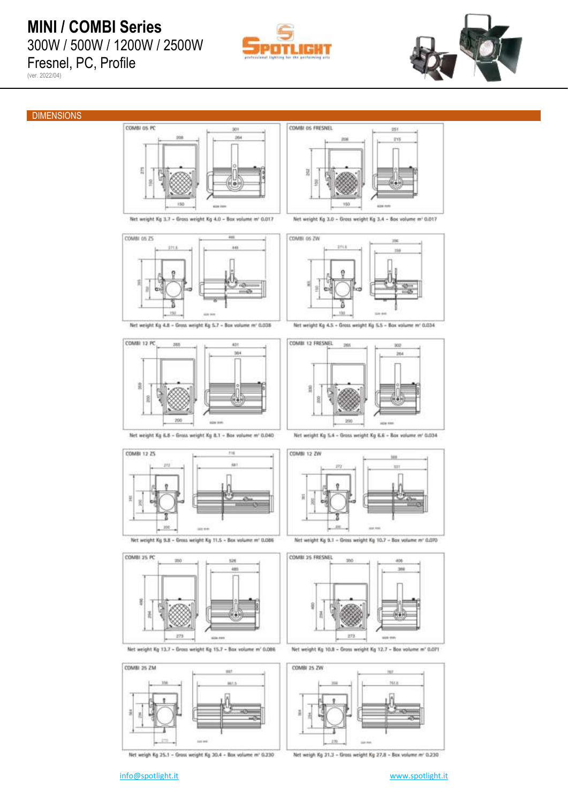# **MINI / COMBI Series**

300W / 500W / 1200W / 2500W

Fresnel, PC, Profile

(ver. 2022/04)

**DIMENSIONS** 







Net weight Kg 3.7 - Gross weight Kg 4.0 - Box volume m' 0.017



Net weight Kg 4.5 - Grms weight Kg 5.7 - Box volume m' 0.038





Net weight Kg 3.0 - Gross weight Kg 3.4 - Box volume m<sup>2</sup> 0.017



Net weight Kg 4.5 - Gross weight Kg 5.5 - Box volume m' 0.034



Net weight Kg R.8 - Grass weight Kg 8.1 - Box volume m' 0.040







Net weight Kg 13.7 - Gross weight Kg 15.7 - Box volume m' 0.086



Net weigh Kg 25.1 - Gross weight Kg 30.4 - Box volume m' 0.230





Net weight Kg 9.1 - Gross weight Kg 10.7 - Box volume m' 0.070



Net weight Kg 10.8 - Grass weight Kg 12.7 - Box volume m' 0.071



Net weigh Kg 31.3 - Gross weight Kg 27.8 - Box volume m' 0.230